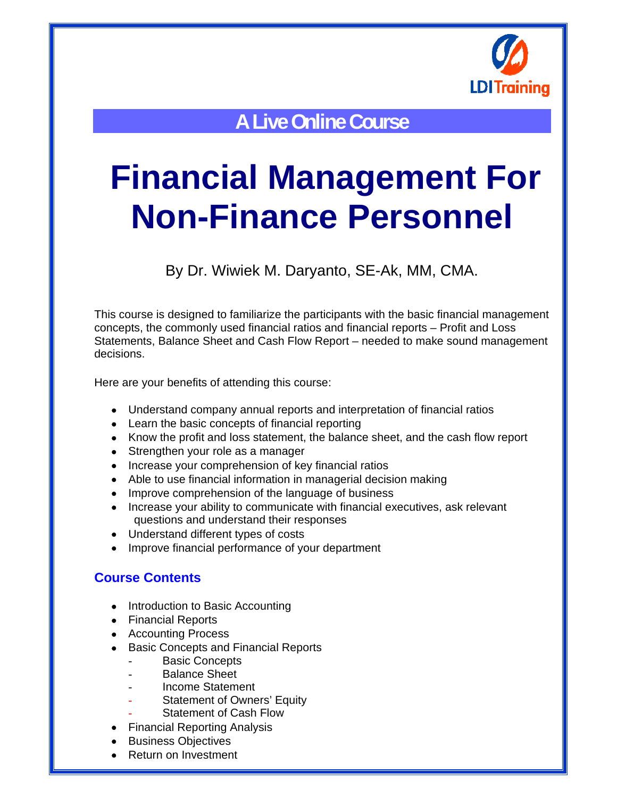

**A Live Online Course** 

# **Financial Management For Non-Finance Personnel**

By Dr. Wiwiek M. Daryanto, SE-Ak, MM, CMA.

This course is designed to familiarize the participants with the basic financial management concepts, the commonly used financial ratios and financial reports – Profit and Loss Statements, Balance Sheet and Cash Flow Report – needed to make sound management decisions.

Here are your benefits of attending this course:

- Understand company annual reports and interpretation of financial ratios
- Learn the basic concepts of financial reporting
- Know the profit and loss statement, the balance sheet, and the cash flow report
- Strengthen your role as a manager
- Increase your comprehension of key financial ratios
- Able to use financial information in managerial decision making
- Improve comprehension of the language of business
- Increase your ability to communicate with financial executives, ask relevant questions and understand their responses
- Understand different types of costs
- Improve financial performance of your department

#### **Course Contents**

- Introduction to Basic Accounting
- Financial Reports
- Accounting Process
- **Basic Concepts and Financial Reports** 
	- **Basic Concepts**
	- Balance Sheet
	- Income Statement
	- Statement of Owners' Equity
	- Statement of Cash Flow
- Financial Reporting Analysis
- Business Objectives
- Return on Investment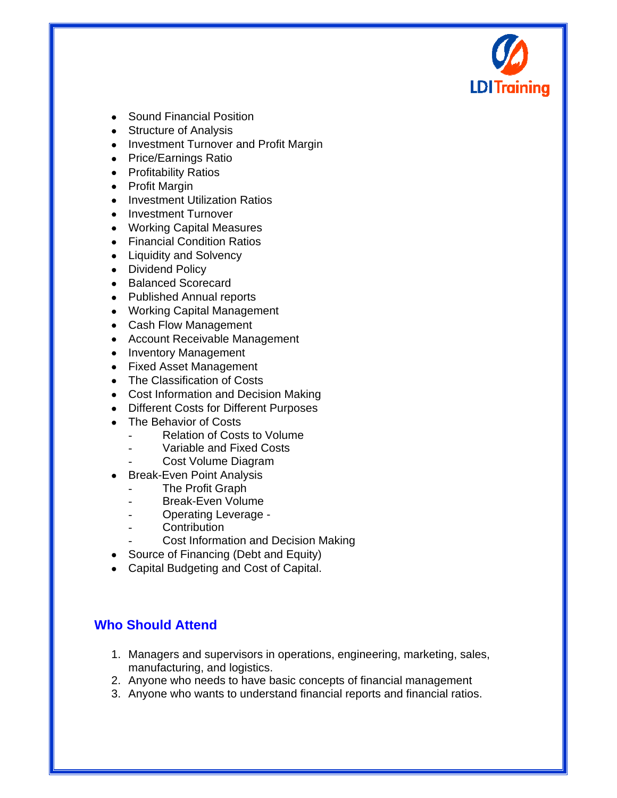

- Sound Financial Position
- Structure of Analysis
- Investment Turnover and Profit Margin
- Price/Earnings Ratio
- Profitability Ratios
- Profit Margin
- Investment Utilization Ratios
- Investment Turnover
- Working Capital Measures
- Financial Condition Ratios
- Liquidity and Solvency
- Dividend Policy
- Balanced Scorecard
- Published Annual reports
- Working Capital Management
- Cash Flow Management
- Account Receivable Management
- Inventory Management
- Fixed Asset Management
- The Classification of Costs
- Cost Information and Decision Making
- Different Costs for Different Purposes
- The Behavior of Costs
	- Relation of Costs to Volume
	- Variable and Fixed Costs
	- Cost Volume Diagram
- Break-Even Point Analysis
	- The Profit Graph
	- Break-Even Volume
	- Operating Leverage -
	- **Contribution**
	- Cost Information and Decision Making
- Source of Financing (Debt and Equity)
- Capital Budgeting and Cost of Capital.

## **Who Should Attend**

- 1. Managers and supervisors in operations, engineering, marketing, sales, manufacturing, and logistics.
- 2. Anyone who needs to have basic concepts of financial management
- 3. Anyone who wants to understand financial reports and financial ratios.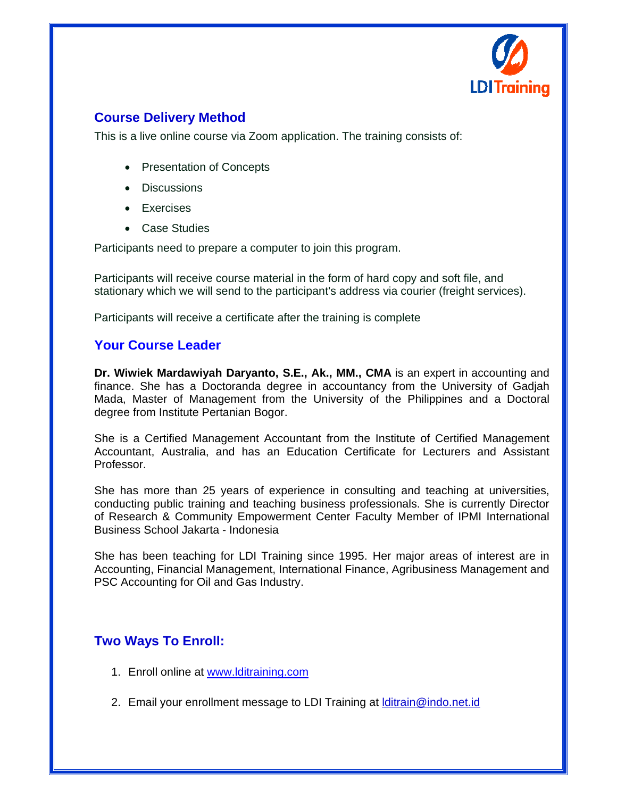

### **Course Delivery Method**

This is a live online course via Zoom application. The training consists of:

- Presentation of Concepts
- Discussions
- **Exercises**
- Case Studies

Participants need to prepare a computer to join this program.

Participants will receive course material in the form of hard copy and soft file, and stationary which we will send to the participant's address via courier (freight services).

Participants will receive a certificate after the training is complete

#### **Your Course Leader**

**Dr. Wiwiek Mardawiyah Daryanto, S.E., Ak., MM., CMA** is an expert in accounting and finance. She has a Doctoranda degree in accountancy from the University of Gadjah Mada, Master of Management from the University of the Philippines and a Doctoral degree from Institute Pertanian Bogor.

She is a Certified Management Accountant from the Institute of Certified Management Accountant, Australia, and has an Education Certificate for Lecturers and Assistant Professor.

She has more than 25 years of experience in consulting and teaching at universities, conducting public training and teaching business professionals. She is currently Director of Research & Community Empowerment Center Faculty Member of IPMI International Business School Jakarta - Indonesia

She has been teaching for LDI Training since 1995. Her major areas of interest are in Accounting, Financial Management, International Finance, Agribusiness Management and PSC Accounting for Oil and Gas Industry.

#### **Two Ways To Enroll:**

- 1. Enroll online at www.lditraining.com
- 2. Email your enrollment message to LDI Training at Iditrain@indo.net.id